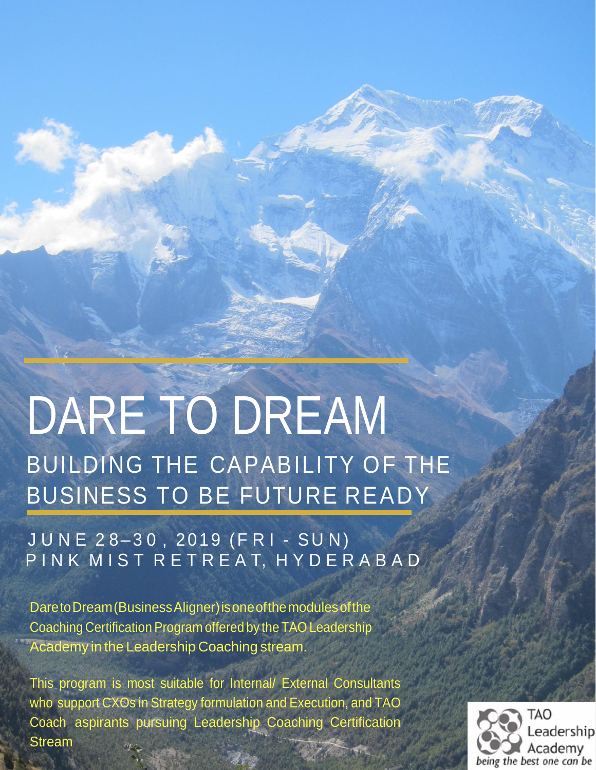# DARE TO DREAM BUILDING THE CAPABILITY OF THE BUSINESS TO BE FUTURE READY

J U N E 28-30, 2019 (F R I - S U N) P IN K M I S T R E T R E A T, H Y D E R A B A D

DaretoDream(BusinessAligner)isoneofthemodulesofthe Coaching Certification Program offered by the TAO Leadership Academy in the Leadership Coaching stream.

This program is most suitable for Internal/ External Consultants who support CXOs in Strategy formulation and Execution, and TAO Coach aspirants pursuing Leadership Coaching Certification Stream

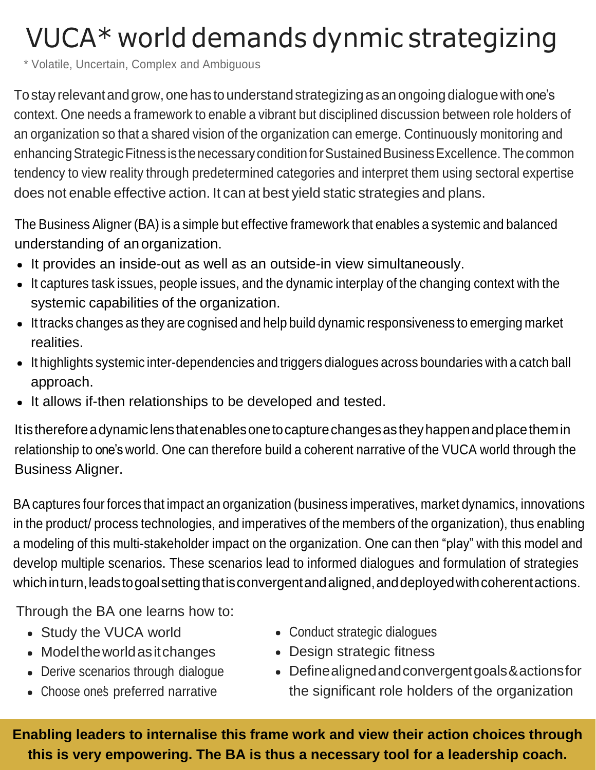## VUCA\* world demands dynmic strategizing

\* Volatile, Uncertain, Complex and Ambiguous

To stay relevant and grow, one has to understand strategizing as an ongoing dialogue with one's context. One needs a framework to enable a vibrant but disciplined discussion between role holders of an organization so that a shared vision of the organization can emerge. Continuously monitoring and enhancing Strategic Fitness is the necessary condition for Sustained Business Excellence. The common tendency to view reality through predetermined categories and interpret them using sectoral expertise does not enable effective action. It can at best yield static strategies and plans.

The Business Aligner (BA) is a simple but effective framework that enables a systemic and balanced understanding of anorganization.

- It provides an inside-out as well as an outside-in view simultaneously.
- It captures task issues, people issues, and the dynamic interplay of the changing context with the systemic capabilities of the organization.
- It tracks changes as they are cognised and help build dynamic responsiveness to emerging market realities.
- It highlights systemic inter-dependencies and triggers dialogues across boundaries with a catch ball approach.
- It allows if-then relationships to be developed and tested.

Itisthereforeadynamiclensthatenablesonetocapturechangesastheyhappenandplacethemin relationship to one's world. One can therefore build a coherent narrative of the VUCA world through the Business Aligner.

BA captures four forces that impact an organization (business imperatives, market dynamics, innovations in the product/ process technologies, and imperatives of the members of the organization), thus enabling a modeling of this multi-stakeholder impact on the organization. One can then "play" with this model and develop multiple scenarios. These scenarios lead to informed dialogues and formulation of strategies which in turn, leads to goal setting that is convergent and aligned, and deployed with coherent actions.

Through the BA one learns how to:

- Study the VUCA world
- Model the world as it changes
- Derive scenarios through dialogue
- 
- Conduct strategic dialogues
- Design strategic fitness
- Definealignedandconvergentgoals&actionsfor • Choose ones preferred narrative the significant role holders of the organization

**Enabling leaders to internalise this frame work and view their action choices through this is very empowering. The BA is thus a necessary tool for a leadership coach.**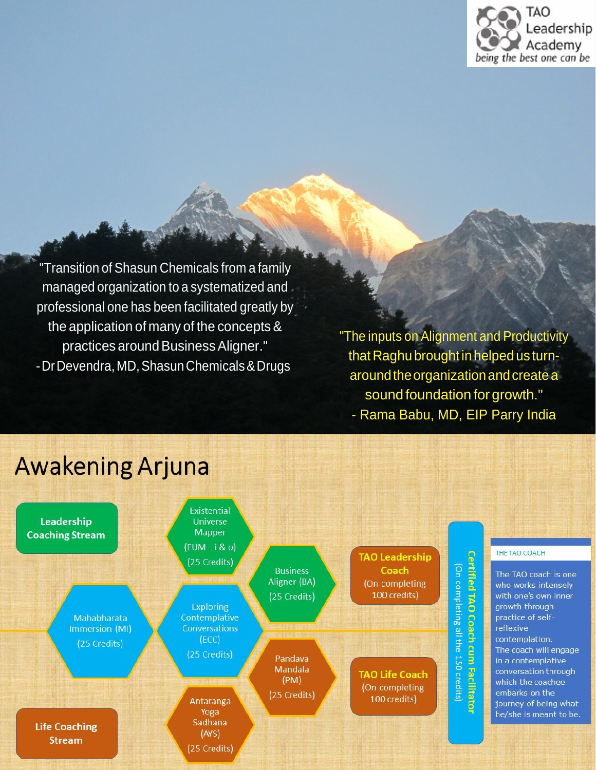

"Transition of Shasun Chemicals from a family managed organization to a systematized and professional one has been facilitated greatly by the application of many of the concepts & practices around Business Aligner." -Dr Devendra, MD, Shasun Chemicals & Drugs

"The inputs on Alignment and Productivity that Raghu brought in helped us turnaround the organization and create a sound foundation for growth."





### **Awakening Arjuna**